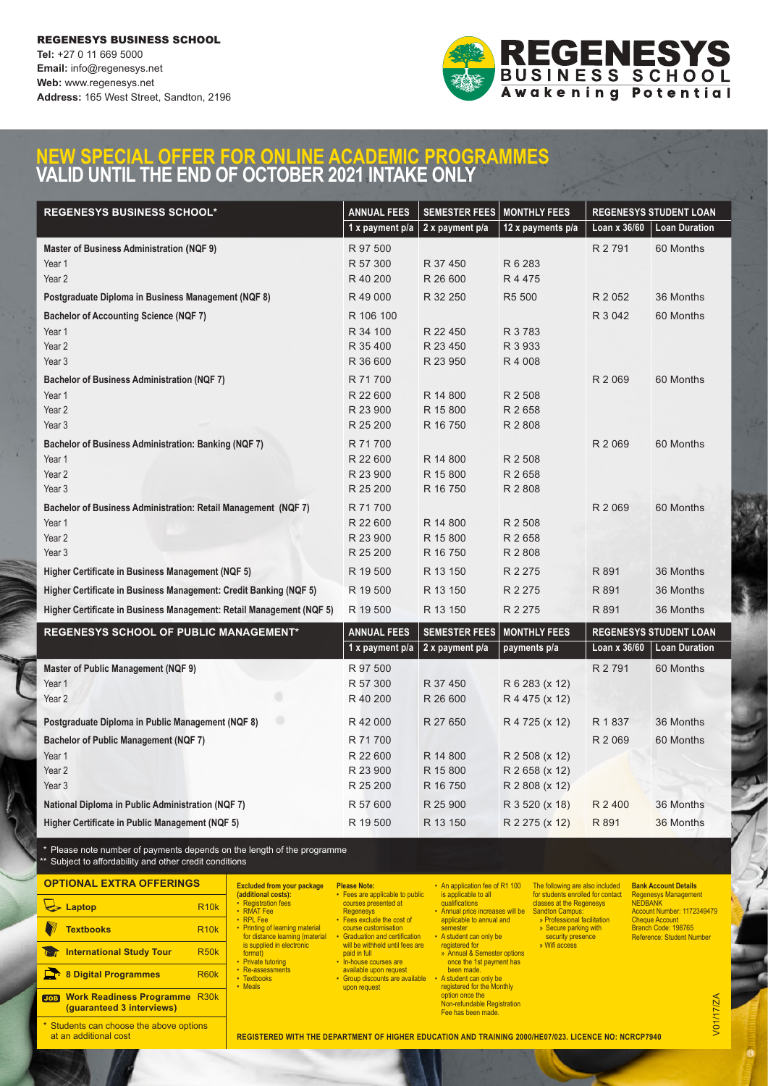

## **NEW SPECIAL OFFER FOR ONLINE ACADEMIC PROGRAMMES VALID UNTIL THE END OF OCTOBER 2021 INTAKE ONLY**

| <b>REGENESYS BUSINESS SCHOOL*</b>                                                                                          | <b>ANNUAL FEES</b>                            | <b>SEMESTER FEES</b>                    | <b>MONTHLY FEES</b>                                |                    | <b>REGENESYS STUDENT LOAN</b>                         |  |
|----------------------------------------------------------------------------------------------------------------------------|-----------------------------------------------|-----------------------------------------|----------------------------------------------------|--------------------|-------------------------------------------------------|--|
|                                                                                                                            | 1 x payment p/a                               | 2 x payment p/a                         | 12 x payments p/a                                  | Loan x 36/60       | <b>Loan Duration</b>                                  |  |
| Master of Business Administration (NQF 9)<br>Year 1<br>Year 2                                                              | R 97 500<br>R 57 300<br>R 40 200              | R 37 450<br>R 26 600                    | R 6 283<br>R4475                                   | R 2 791            | 60 Months                                             |  |
| Postgraduate Diploma in Business Management (NQF 8)                                                                        | R 49 000                                      | R 32 250                                | R <sub>5</sub> 500                                 | R 2 052            | 36 Months                                             |  |
| <b>Bachelor of Accounting Science (NQF 7)</b><br>Year 1<br>Year 2<br>Year 3                                                | R 106 100<br>R 34 100<br>R 35 400<br>R 36 600 | R 22 450<br>R 23 450<br>R 23 950        | R 3 7 8 3<br>R 3 933<br>R 4 008                    | R 3 042            | 60 Months                                             |  |
| <b>Bachelor of Business Administration (NQF7)</b><br>Year 1<br>Year 2<br>Year <sub>3</sub>                                 | R 71 700<br>R 22 600<br>R 23 900<br>R 25 200  | R 14 800<br>R 15 800<br>R 16 750        | R 2 508<br>R 2 658<br>R 2 808                      | R 2 069            | 60 Months                                             |  |
| Bachelor of Business Administration: Banking (NQF 7)<br>Year 1<br>Year <sub>2</sub><br>Year 3                              | R 71700<br>R 22 600<br>R 23 900<br>R 25 200   | R 14 800<br>R 15 800<br>R 16 750        | R 2 508<br>R 2658<br>R 2 808                       | R 2 069            | 60 Months                                             |  |
| Bachelor of Business Administration: Retail Management (NQF 7)<br>Year 1<br>Year 2<br>Year 3                               | R 71700<br>R 22 600<br>R 23 900<br>R 25 200   | R 14 800<br>R 15 800<br>R 16 750        | R 2 508<br>R 2 658<br>R 2 808                      | R 2 069            | 60 Months                                             |  |
| Higher Certificate in Business Management (NQF 5)                                                                          | R 19 500                                      | R 13 150                                | R 2 275                                            | R 891              | 36 Months                                             |  |
| Higher Certificate in Business Management: Credit Banking (NQF 5)                                                          | R 19 500                                      | R 13 150                                | R 2 275                                            | R 891              | 36 Months                                             |  |
| Higher Certificate in Business Management: Retail Management (NQF 5)                                                       | R 19 500                                      | R 13 150                                | R 2 275                                            | R 891              | 36 Months                                             |  |
| REGENESYS SCHOOL OF PUBLIC MANAGEMENT*                                                                                     | <b>ANNUAL FEES</b><br>1 x payment p/a         | <b>SEMESTER FEES</b><br>2 x payment p/a | <b>MONTHLY FEES</b><br>payments p/a                | Loan $x$ 36/60     | <b>REGENESYS STUDENT LOAN</b><br><b>Loan Duration</b> |  |
| <b>Master of Public Management (NQF 9)</b><br>Year 1<br>o<br>Year <sub>2</sub>                                             | R 97 500<br>R 57 300<br>R 40 200              | R 37 450<br>R 26 600                    | R 6 283 (x 12)<br>R 4 475 (x 12)                   | R 2 791            | 60 Months                                             |  |
| Ο<br>Postgraduate Diploma in Public Management (NQF 8)<br><b>Bachelor of Public Management (NQF 7)</b><br>Year 1<br>Year 2 | R 42 000<br>R 71 700<br>R 22 600<br>R 23 900  | R 27 650<br>R 14 800<br>R 15 800        | R 4 725 (x 12)<br>R 2 508 (x 12)<br>R 2 658 (x 12) | R 1 837<br>R 2 069 | 36 Months<br>60 Months                                |  |

Year 3 R 25 200 R 16 750 R 2 808 (x 12) National Diploma in Public Administration (NQF 7) **R** 57 600 R 25 900 R 35 20 (x 18) R 2 400 36 Months **Higher Certificate in Public Management (NQF 5)** R 19 500 R 13 150 R 2 275 (x 12) R 891 36 Months

<sup>t</sup> Please note number of payments depends on the length of the programme Subject to affordability and other credit conditions

| <b>OPTIONAL EXTRA OFFERINGS</b>                                                                                                                                        |             | <b>Excluded from your package</b>                                                                                                                                                                 | <b>Please Note:</b>                                                                                                                                                                                                                            | • An application fee of R1 100<br>is applicable to all                                                                                                                                                                                                                                    | The following are also included<br>for students enrolled for contact                       | <b>Bank Account Details</b>                                                 |  |
|------------------------------------------------------------------------------------------------------------------------------------------------------------------------|-------------|---------------------------------------------------------------------------------------------------------------------------------------------------------------------------------------------------|------------------------------------------------------------------------------------------------------------------------------------------------------------------------------------------------------------------------------------------------|-------------------------------------------------------------------------------------------------------------------------------------------------------------------------------------------------------------------------------------------------------------------------------------------|--------------------------------------------------------------------------------------------|-----------------------------------------------------------------------------|--|
| $\rightarrow$ Laptop                                                                                                                                                   | <b>R10k</b> | (additional costs):<br>• Registration fees<br>• RMAT Fee                                                                                                                                          | • Fees are applicable to public<br>courses presented at<br>Regenesys                                                                                                                                                                           | qualifications<br>• Annual price increases will be                                                                                                                                                                                                                                        | classes at the Regenesys<br><b>Sandton Campus:</b>                                         | <b>Regenesys Management</b><br><b>NEDBANK</b><br>Account Number: 1172349479 |  |
| <b>Textbooks</b>                                                                                                                                                       | <b>R10k</b> | $\cdot$ RPL Fee<br>• Printing of learning material<br>for distance learning (material<br>is supplied in electronic<br>format)<br>• Private tutoring<br>• Re-assessments<br>• Textbooks<br>• Meals | • Fees exclude the cost of<br>course customisation<br>• Graduation and certification<br>will be withheld until fees are<br>paid in full<br>. In-house courses are<br>available upon request<br>• Group discounts are available<br>upon request | applicable to annual and<br>semester<br>• A student can only be<br>registered for<br>» Annual & Semester options<br>once the 1st payment has<br>been made.<br>A student can only be<br>registered for the Monthly<br>option once the<br>Non-refundable Registration<br>Fee has been made. | » Professional facilitation<br>» Secure parking with<br>security presence<br>» Wifi access | <b>Cheque Account</b><br>Branch Code: 198765<br>Reference: Student Number   |  |
| <b>International Study Tour</b>                                                                                                                                        | <b>R50k</b> |                                                                                                                                                                                                   |                                                                                                                                                                                                                                                |                                                                                                                                                                                                                                                                                           |                                                                                            |                                                                             |  |
| <b>B</b> 8 Digital Programmes                                                                                                                                          | <b>R60k</b> |                                                                                                                                                                                                   |                                                                                                                                                                                                                                                |                                                                                                                                                                                                                                                                                           |                                                                                            |                                                                             |  |
| <b>Work Readiness Programme R30k</b><br><b>JOB</b><br>(quaranteed 3 interviews)                                                                                        |             |                                                                                                                                                                                                   |                                                                                                                                                                                                                                                |                                                                                                                                                                                                                                                                                           |                                                                                            | 7/ZA                                                                        |  |
| Students can choose the above options<br>at an additional cost<br>REGISTERED WITH THE DEPARTMENT OF HIGHER EDUCATION AND TRAINING 2000/HE07/023. LICENCE NO: NCRCP7940 |             |                                                                                                                                                                                                   |                                                                                                                                                                                                                                                |                                                                                                                                                                                                                                                                                           |                                                                                            | VO <sub>1/</sub>                                                            |  |